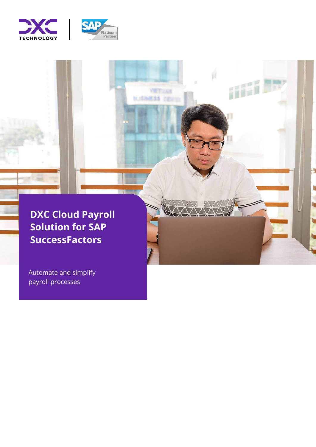



**YET LAN KSS cover** 

取消用

ilii i

t,

**DXC Cloud Payroll Solution for SAP SuccessFactors**

Automate and simplify payroll processes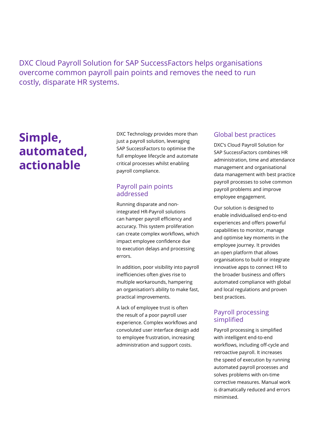DXC Cloud Payroll Solution for SAP SuccessFactors helps organisations overcome common payroll pain points and removes the need to run costly, disparate HR systems.

# **Simple, automated, actionable**

DXC Technology provides more than just a payroll solution, leveraging SAP SuccessFactors to optimise the full employee lifecycle and automate critical processes whilst enabling payroll compliance.

## Payroll pain points addressed

Running disparate and nonintegrated HR-Payroll solutions can hamper payroll efficiency and accuracy. This system proliferation can create complex workflows, which impact employee confidence due to execution delays and processing errors.

In addition, poor visibility into payroll inefficiencies often gives rise to multiple workarounds, hampering an organisation's ability to make fast, practical improvements.

A lack of employee trust is often the result of a poor payroll user experience. Complex workflows and convoluted user interface design add to employee frustration, increasing administration and support costs.

## Global best practices

DXC's Cloud Payroll Solution for SAP SuccessFactors combines HR administration, time and attendance management and organisational data management with best practice payroll processes to solve common payroll problems and improve employee engagement.

Our solution is designed to enable individualised end-to-end experiences and offers powerful capabilities to monitor, manage and optimise key moments in the employee journey. It provides an open platform that allows organisations to build or integrate innovative apps to connect HR to the broader business and offers automated compliance with global and local regulations and proven best practices.

## Payroll processing simplified

Payroll processing is simplified with intelligent end-to-end workflows, including off-cycle and retroactive payroll. It increases the speed of execution by running automated payroll processes and solves problems with on-time corrective measures. Manual work is dramatically reduced and errors minimised.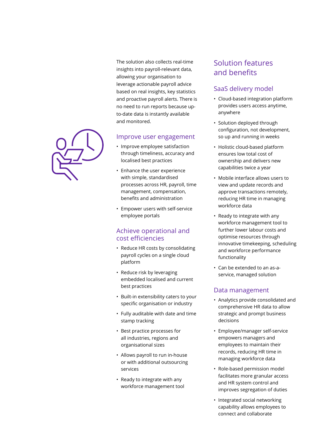The solution also collects real-time insights into payroll-relevant data, allowing your organisation to leverage actionable payroll advice based on real insights, key statistics and proactive payroll alerts. There is no need to run reports because upto-date data is instantly available and monitored.

#### Improve user engagement

- Improve employee satisfaction through timeliness, accuracy and localised best practices
- Enhance the user experience with simple, standardised processes across HR, payroll, time management, compensation, benefits and administration
- Empower users with self-service employee portals

## Achieve operational and cost efficiencies

- Reduce HR costs by consolidating payroll cycles on a single cloud platform
- Reduce risk by leveraging embedded localised and current best practices
- Built-in extensibility caters to your specific organisation or industry
- Fully auditable with date and time stamp tracking
- Best practice processes for all industries, regions and organisational sizes
- Allows payroll to run in-house or with additional outsourcing services
- Ready to integrate with any workforce management tool

## Solution features and benefits

## SaaS delivery model

- Cloud-based integration platform provides users access anytime, anywhere
- Solution deployed through configuration, not development, so up and running in weeks
- Holistic cloud-based platform ensures low total cost of ownership and delivers new capabilities twice a year
- Mobile interface allows users to view and update records and approve transactions remotely, reducing HR time in managing workforce data
- Ready to integrate with any workforce management tool to further lower labour costs and optimise resources through innovative timekeeping, scheduling and workforce performance functionality
- Can be extended to an as-aservice, managed solution

## Data management

- Analytics provide consolidated and comprehensive HR data to allow strategic and prompt business decisions
- Employee/manager self-service empowers managers and employees to maintain their records, reducing HR time in managing workforce data
- Role-based permission model facilitates more granular access and HR system control and improves segregation of duties
- Integrated social networking capability allows employees to connect and collaborate